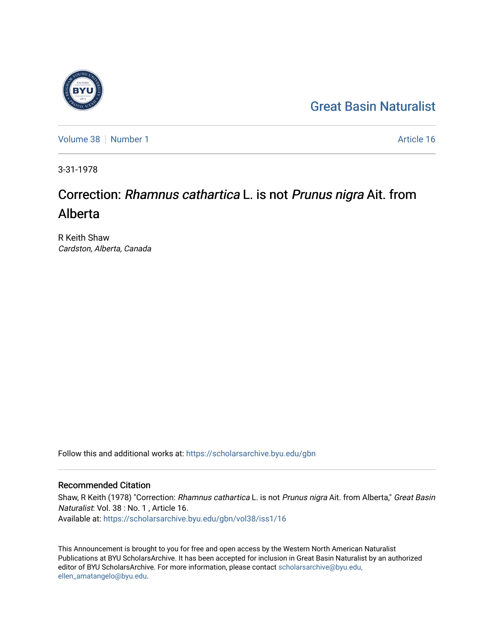## [Great Basin Naturalist](https://scholarsarchive.byu.edu/gbn)

[Volume 38](https://scholarsarchive.byu.edu/gbn/vol38) [Number 1](https://scholarsarchive.byu.edu/gbn/vol38/iss1) Article 16

3-31-1978

# Correction: Rhamnus cathartica L. is not Prunus nigra Ait. from Alberta

R Keith Shaw Cardston, Alberta, Canada

Follow this and additional works at: [https://scholarsarchive.byu.edu/gbn](https://scholarsarchive.byu.edu/gbn?utm_source=scholarsarchive.byu.edu%2Fgbn%2Fvol38%2Fiss1%2F16&utm_medium=PDF&utm_campaign=PDFCoverPages) 

### Recommended Citation

Shaw, R Keith (1978) "Correction: Rhamnus cathartica L. is not Prunus nigra Ait. from Alberta," Great Basin Naturalist: Vol. 38 : No. 1 , Article 16. Available at: [https://scholarsarchive.byu.edu/gbn/vol38/iss1/16](https://scholarsarchive.byu.edu/gbn/vol38/iss1/16?utm_source=scholarsarchive.byu.edu%2Fgbn%2Fvol38%2Fiss1%2F16&utm_medium=PDF&utm_campaign=PDFCoverPages) 

This Announcement is brought to you for free and open access by the Western North American Naturalist Publications at BYU ScholarsArchive. It has been accepted for inclusion in Great Basin Naturalist by an authorized editor of BYU ScholarsArchive. For more information, please contact [scholarsarchive@byu.edu,](mailto:scholarsarchive@byu.edu,%20ellen_amatangelo@byu.edu) [ellen\\_amatangelo@byu.edu](mailto:scholarsarchive@byu.edu,%20ellen_amatangelo@byu.edu).